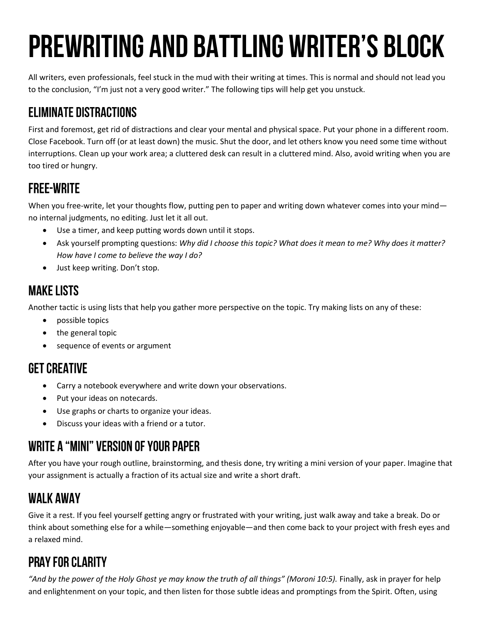# **PREWRITING AND BATTLING WRITER'S BLOCK**

All writers, even professionals, feel stuck in the mud with their writing at times. This is normal and should not lead you to the conclusion, "I'm just not a very good writer." The following tips will help get you unstuck.

## **ELIMINATE DISTRACTIONS**

First and foremost, get rid of distractions and clear your mental and physical space. Put your phone in a different room. Close Facebook. Turn off (or at least down) the music. Shut the door, and let others know you need some time without interruptions. Clean up your work area; a cluttered desk can result in a cluttered mind. Also, avoid writing when you are too tired or hungry.

#### **FREE-WRITE**

When you free-write, let your thoughts flow, putting pen to paper and writing down whatever comes into your mind no internal judgments, no editing. Just let it all out.

- Use a timer, and keep putting words down until it stops.
- Ask yourself prompting questions: *Why did I choose this topic? What does it mean to me? Why does it matter? How have I come to believe the way I do?*
- Just keep writing. Don't stop.

## **MAKE LISTS**

Another tactic is using lists that help you gather more perspective on the topic. Try making lists on any of these:

- possible topics
- the general topic
- sequence of events or argument

## **GET CREATIVE**

- Carry a notebook everywhere and write down your observations.
- Put your ideas on notecards.
- Use graphs or charts to organize your ideas.
- Discuss your ideas with a friend or a tutor.

## **WRITE A "MINI" VERSION OF YOUR PAPER**

After you have your rough outline, brainstorming, and thesis done, try writing a mini version of your paper. Imagine that your assignment is actually a fraction of its actual size and write a short draft.

#### **WALK AWAY**

Give it a rest. If you feel yourself getting angry or frustrated with your writing, just walk away and take a break. Do or think about something else for a while—something enjoyable—and then come back to your project with fresh eyes and a relaxed mind.

## **PRAY FOR CLARITY**

"And by the power of the Holy Ghost ye may know the truth of all things" (Moroni 10:5). Finally, ask in prayer for help and enlightenment on your topic, and then listen for those subtle ideas and promptings from the Spirit. Often, using